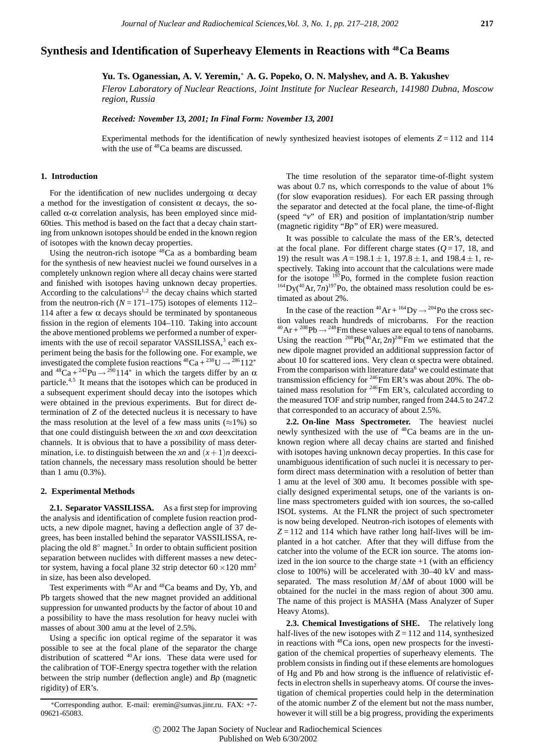# **Synthesis and Identification of Superheavy Elements in Reactions with 48Ca Beams**

**Yu. Ts. Oganessian, A. V. Yeremin,**<sup>∗</sup> **A. G. Popeko, O. N. Malyshev, and A. B. Yakushev**

*Flerov Laboratory of Nuclear Reactions, Joint Institute for Nuclear Research, 141980 Dubna, Moscow region, Russia*

*Received: November 13, 2001; In Final Form: November 13, 2001*

Experimental methods for the identification of newly synthesized heaviest isotopes of elements  $Z = 112$  and 114 with the use of  $48$ Ca beams are discussed.

# **1. Introduction**

For the identification of new nuclides undergoing  $\alpha$  decay a method for the investigation of consistent  $\alpha$  decays, the socalled  $\alpha$ - $\alpha$  correlation analysis, has been employed since mid-60ties. This method is based on the fact that a decay chain starting from unknown isotopes should be ended in the known region of isotopes with the known decay properties.

Using the neutron-rich isotope  $48\text{Ca}$  as a bombarding beam for the synthesis of new heaviest nuclei we found ourselves in a completely unknown region where all decay chains were started and finished with isotopes having unknown decay properties. According to the calculations $1,2$  the decay chains which started from the neutron-rich  $(N = 171 - 175)$  isotopes of elements 112– 114 after a few  $\alpha$  decays should be terminated by spontaneous fission in the region of elements 104–110. Taking into account the above mentioned problems we performed a number of experiments with the use of recoil separator VASSILISSA,<sup>3</sup> each experiment being the basis for the following one. For example, we investigated the complete fusion reactions  ${}^{48}Ca + {}^{238}U \rightarrow {}^{286}112*$ and  ${}^{48}Ca + {}^{242}Pu \rightarrow {}^{290}114^*$  in which the targets differ by an  $\alpha$ particle.4,5 It means that the isotopes which can be produced in a subsequent experiment should decay into the isotopes which were obtained in the previous experiments. But for direct determination of *Z* of the detected nucleus it is necessary to have the mass resolution at the level of a few mass units  $(\approx 1\%)$  so that one could distinguish between the *xn* and α*xn* deexcitation channels. It is obvious that to have a possibility of mass determination, i.e. to distinguish between the *xn* and  $(x+1)n$  deexcitation channels, the necessary mass resolution should be better than 1 amu (0.3%).

### **2. Experimental Methods**

**2.1. Separator VASSILISSA.** As a first step for improving the analysis and identification of complete fusion reaction products, a new dipole magnet, having a deflection angle of 37 degrees, has been installed behind the separator VASSILISSA, replacing the old  $8^\circ$  magnet.<sup>5</sup> In order to obtain sufficient position separation between nuclides with different masses a new detector system, having a focal plane 32 strip detector  $60 \times 120$  mm<sup>2</sup> in size, has been also developed.

Test experiments with  $^{40}Ar$  and  $^{48}Ca$  beams and Dy, Yb, and Pb targets showed that the new magnet provided an additional suppression for unwanted products by the factor of about 10 and a possibility to have the mass resolution for heavy nuclei with masses of about 300 amu at the level of 2.5%.

Using a specific ion optical regime of the separator it was possible to see at the focal plane of the separator the charge distribution of scattered <sup>40</sup>Ar ions. These data were used for the calibration of TOF-Energy spectra together with the relation between the strip number (deflection angle) and *B*ρ (magnetic rigidity) of ER's.

The time resolution of the separator time-of-flight system was about 0.7 ns, which corresponds to the value of about 1% (for slow evaporation residues). For each ER passing through the separator and detected at the focal plane, the time-of-flight (speed "*v*" of ER) and position of implantation/strip number (magnetic rigidity "*B*ρ" of ER) were measured.

It was possible to calculate the mass of the ER's, detected at the focal plane. For different charge states  $(Q=17, 18,$  and 19) the result was  $A = 198.1 \pm 1$ , 197.8  $\pm$  1, and 198.4  $\pm$  1, respectively. Taking into account that the calculations were made for the isotope  $197$ Po, formed in the complete fusion reaction  $^{164}$ Dy( $^{40}$ Ar, 7*n*)<sup>197</sup>Po, the obtained mass resolution could be estimated as about 2%.

In the case of the reaction  ${}^{40}Ar + {}^{164}Dy \rightarrow {}^{204}Po$  the cross section values reach hundreds of microbarns. For the reaction  $^{40}Ar + ^{208}Pb \rightarrow ^{248}Fm$  these values are equal to tens of nanobarns. Using the reaction  $^{208}Pb(^{40}Ar, 2n)^{246}Fm$  we estimated that the new dipole magnet provided an additional suppression factor of about 10 for scattered ions. Very clean  $\alpha$  spectra were obtained. From the comparison with literature data<sup>6</sup> we could estimate that transmission efficiency for 246Fm ER's was about 20%. The obtained mass resolution for  $246$ Fm ER's, calculated according to the measured TOF and strip number, ranged from 244.5 to 247.2 that corresponded to an accuracy of about 2.5%.

**2.2. On-line Mass Spectrometer.** The heaviest nuclei newly synthesized with the use of <sup>48</sup>Ca beams are in the unknown region where all decay chains are started and finished with isotopes having unknown decay properties. In this case for unambiguous identification of such nuclei it is necessary to perform direct mass determination with a resolution of better than 1 amu at the level of 300 amu. It becomes possible with specially designed experimental setups, one of the variants is online mass spectrometers guided with ion sources, the so-called ISOL systems. At the FLNR the project of such spectrometer is now being developed. Neutron-rich isotopes of elements with  $Z = 112$  and 114 which have rather long half-lives will be implanted in a hot catcher. After that they will diffuse from the catcher into the volume of the ECR ion source. The atoms ionized in the ion source to the charge state  $+1$  (with an efficiency close to 100%) will be accelerated with 30–40 kV and massseparated. The mass resolution *M/*∆*M* of about 1000 will be obtained for the nuclei in the mass region of about 300 amu. The name of this project is MASHA (Mass Analyzer of Super Heavy Atoms).

**2.3. Chemical Investigations of SHE.** The relatively long half-lives of the new isotopes with  $Z = 112$  and 114, synthesized in reactions with <sup>48</sup>Ca ions, open new prospects for the investigation of the chemical properties of superheavy elements. The problem consists in finding out if these elements are homologues of Hg and Pb and how strong is the influence of relativistic effects in electron shells in superheavy atoms. Of course the investigation of chemical properties could help in the determination of the atomic number *Z* of the element but not the mass number, however it will still be a big progress, providing the experiments

<sup>∗</sup>Corresponding author. E-mail: eremin@sunvas.jinr.ru. FAX: +7- 09621-65083.